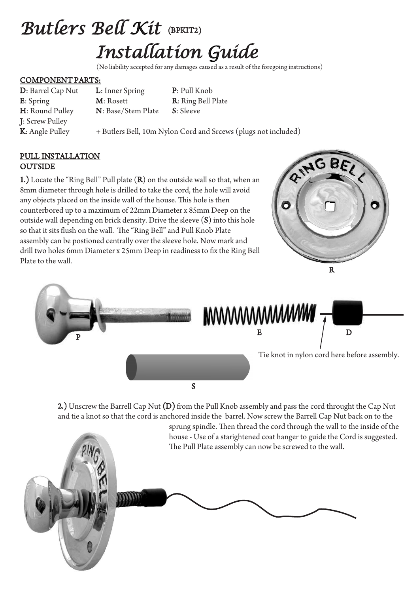# Butlers Bell Kit (BPKIT2) Installation Guide

(No liability accepted for any damages caused as a result of the foregoing instructions)

#### COMPONENT PARTS:

J: Screw Pulley

D: Barrel Cap Nut L: Inner Spring P: Pull Knob E: Spring M: Rosett R: Ring Bell Plate H: Round Pulley N: Base/Stem Plate S: Sleeve

K: Angle Pulley + Butlers Bell, 10m Nylon Cord and Srcews (plugs not included)

#### PULL INSTALLATION **OUTSIDE**

1.) Locate the "Ring Bell" Pull plate (R) on the outside wall so that, when an 8mm diameter through hole is drilled to take the cord, the hole will avoid any objects placed on the inside wall of the house. This hole is then counterbored up to a maximum of 22mm Diameter x 85mm Deep on the outside wall depending on brick density. Drive the sleeve (S) into this hole so that it sits flush on the wall. The "Ring Bell" and Pull Knob Plate assembly can be postioned centrally over the sleeve hole. Now mark and drill two holes 6mm Diameter x 25mm Deep in readiness to fix the Ring Bell Plate to the wall.





2.) Unscrew the Barrell Cap Nut (D) from the Pull Knob assembly and pass the cord throught the Cap Nut and tie a knot so that the cord is anchored inside the barrel. Now screw the Barrell Cap Nut back on to the

sprung spindle. Then thread the cord through the wall to the inside of the house - Use of a starightened coat hanger to guide the Cord is suggested.